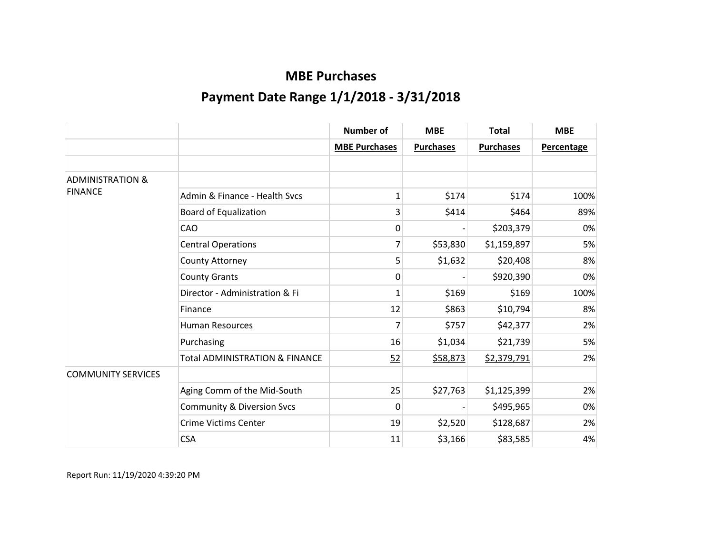|                             |                                           | <b>Number of</b>     | <b>MBE</b>       | <b>Total</b>     | <b>MBE</b>        |
|-----------------------------|-------------------------------------------|----------------------|------------------|------------------|-------------------|
|                             |                                           | <b>MBE Purchases</b> | <b>Purchases</b> | <b>Purchases</b> | <b>Percentage</b> |
|                             |                                           |                      |                  |                  |                   |
| <b>ADMINISTRATION &amp;</b> |                                           |                      |                  |                  |                   |
| <b>FINANCE</b>              | Admin & Finance - Health Sycs             | 1                    | \$174            | \$174            | 100%              |
|                             | <b>Board of Equalization</b>              | 3                    | \$414            | \$464            | 89%               |
|                             | CAO                                       | 0                    |                  | \$203,379        | 0%                |
|                             | <b>Central Operations</b>                 | 7                    | \$53,830         | \$1,159,897      | 5%                |
|                             | County Attorney                           | 5                    | \$1,632          | \$20,408         | 8%                |
|                             | <b>County Grants</b>                      | 0                    |                  | \$920,390        | 0%                |
|                             | Director - Administration & Fi            | $\mathbf 1$          | \$169            | \$169            | 100%              |
|                             | Finance                                   | 12                   | \$863            | \$10,794         | 8%                |
|                             | <b>Human Resources</b>                    | $\overline{7}$       | \$757            | \$42,377         | 2%                |
|                             | Purchasing                                | 16                   | \$1,034          | \$21,739         | 5%                |
|                             | <b>Total ADMINISTRATION &amp; FINANCE</b> | 52                   | \$58,873         | \$2,379,791      | 2%                |
| <b>COMMUNITY SERVICES</b>   |                                           |                      |                  |                  |                   |
|                             | Aging Comm of the Mid-South               | 25                   | \$27,763         | \$1,125,399      | 2%                |
|                             | <b>Community &amp; Diversion Svcs</b>     | 0                    |                  | \$495,965        | 0%                |
|                             | <b>Crime Victims Center</b>               | 19                   | \$2,520          | \$128,687        | 2%                |
|                             | <b>CSA</b>                                | 11                   | \$3,166          | \$83,585         | 4%                |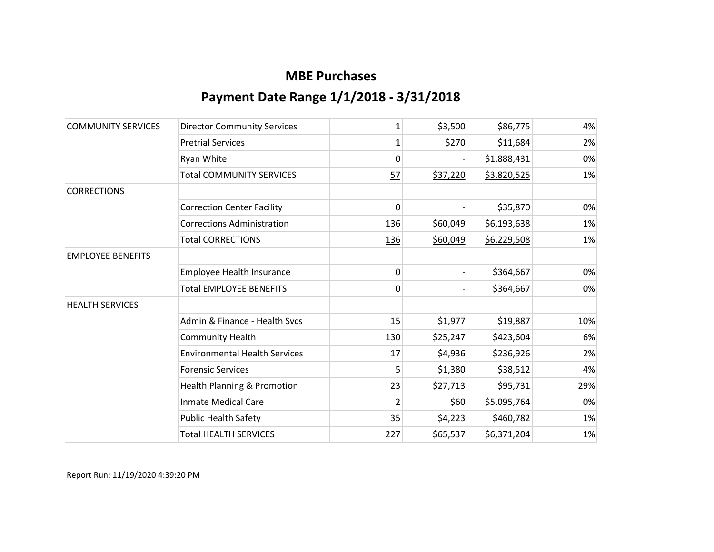| <b>COMMUNITY SERVICES</b> | <b>Director Community Services</b>     | 1              | \$3,500  | \$86,775    | 4%  |
|---------------------------|----------------------------------------|----------------|----------|-------------|-----|
|                           | <b>Pretrial Services</b>               | 1              | \$270    | \$11,684    | 2%  |
|                           | Ryan White                             | $\mathbf{0}$   |          | \$1,888,431 | 0%  |
|                           | <b>Total COMMUNITY SERVICES</b>        | 57             | \$37,220 | \$3,820,525 | 1%  |
| <b>CORRECTIONS</b>        |                                        |                |          |             |     |
|                           | <b>Correction Center Facility</b>      | $\mathbf{0}$   |          | \$35,870    | 0%  |
|                           | <b>Corrections Administration</b>      | 136            | \$60,049 | \$6,193,638 | 1%  |
|                           | <b>Total CORRECTIONS</b>               | 136            | \$60,049 | \$6,229,508 | 1%  |
| <b>EMPLOYEE BENEFITS</b>  |                                        |                |          |             |     |
|                           | Employee Health Insurance              | 0              |          | \$364,667   | 0%  |
|                           | <b>Total EMPLOYEE BENEFITS</b>         | $\overline{0}$ |          | \$364,667   | 0%  |
| <b>HEALTH SERVICES</b>    |                                        |                |          |             |     |
|                           | Admin & Finance - Health Svcs          | 15             | \$1,977  | \$19,887    | 10% |
|                           | <b>Community Health</b>                | 130            | \$25,247 | \$423,604   | 6%  |
|                           | <b>Environmental Health Services</b>   | 17             | \$4,936  | \$236,926   | 2%  |
|                           | <b>Forensic Services</b>               | 5              | \$1,380  | \$38,512    | 4%  |
|                           | <b>Health Planning &amp; Promotion</b> | 23             | \$27,713 | \$95,731    | 29% |
|                           | <b>Inmate Medical Care</b>             | $\overline{2}$ | \$60     | \$5,095,764 | 0%  |
|                           | <b>Public Health Safety</b>            | 35             | \$4,223  | \$460,782   | 1%  |
|                           | <b>Total HEALTH SERVICES</b>           | <u>227</u>     | \$65,537 | \$6,371,204 | 1%  |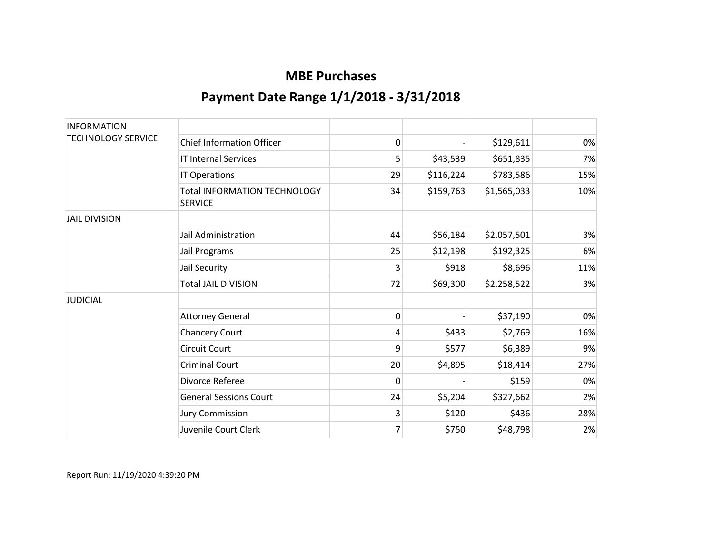| <b>INFORMATION</b>        |                                                       |    |           |             |     |
|---------------------------|-------------------------------------------------------|----|-----------|-------------|-----|
| <b>TECHNOLOGY SERVICE</b> | <b>Chief Information Officer</b>                      | 0  |           | \$129,611   | 0%  |
|                           | <b>IT Internal Services</b>                           | 5  | \$43,539  | \$651,835   | 7%  |
|                           | IT Operations                                         | 29 | \$116,224 | \$783,586   | 15% |
|                           | <b>Total INFORMATION TECHNOLOGY</b><br><b>SERVICE</b> | 34 | \$159,763 | \$1,565,033 | 10% |
| <b>JAIL DIVISION</b>      |                                                       |    |           |             |     |
|                           | Jail Administration                                   | 44 | \$56,184  | \$2,057,501 | 3%  |
|                           | Jail Programs                                         | 25 | \$12,198  | \$192,325   | 6%  |
|                           | Jail Security                                         | 3  | \$918     | \$8,696     | 11% |
|                           | <b>Total JAIL DIVISION</b>                            | 72 | \$69,300  | \$2,258,522 | 3%  |
| <b>JUDICIAL</b>           |                                                       |    |           |             |     |
|                           | <b>Attorney General</b>                               | 0  |           | \$37,190    | 0%  |
|                           | <b>Chancery Court</b>                                 | 4  | \$433     | \$2,769     | 16% |
|                           | <b>Circuit Court</b>                                  | 9  | \$577     | \$6,389     | 9%  |
|                           | <b>Criminal Court</b>                                 | 20 | \$4,895   | \$18,414    | 27% |
|                           | Divorce Referee                                       | 0  |           | \$159       | 0%  |
|                           | <b>General Sessions Court</b>                         | 24 | \$5,204   | \$327,662   | 2%  |
|                           | <b>Jury Commission</b>                                | 3  | \$120     | \$436       | 28% |
|                           | Juvenile Court Clerk                                  | 7  | \$750     | \$48,798    | 2%  |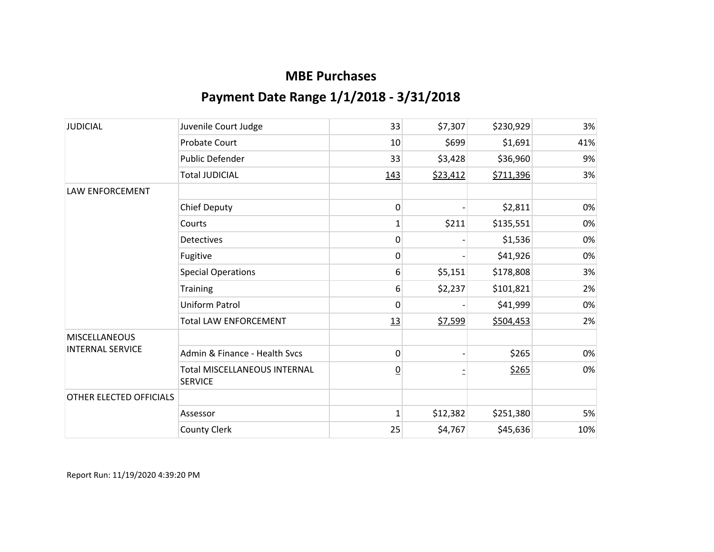| <b>JUDICIAL</b>         | Juvenile Court Judge                                  | 33              | \$7,307  | \$230,929 | 3%  |
|-------------------------|-------------------------------------------------------|-----------------|----------|-----------|-----|
|                         | <b>Probate Court</b>                                  | 10              | \$699    | \$1,691   | 41% |
|                         | Public Defender                                       | 33              | \$3,428  | \$36,960  | 9%  |
|                         | <b>Total JUDICIAL</b>                                 | 143             | \$23,412 | \$711,396 | 3%  |
| <b>LAW ENFORCEMENT</b>  |                                                       |                 |          |           |     |
|                         | <b>Chief Deputy</b>                                   | $\mathbf 0$     |          | \$2,811   | 0%  |
|                         | Courts                                                | $\mathbf 1$     | \$211    | \$135,551 | 0%  |
|                         | <b>Detectives</b>                                     | 0               |          | \$1,536   | 0%  |
|                         | Fugitive                                              | 0               |          | \$41,926  | 0%  |
|                         | <b>Special Operations</b>                             | 6               | \$5,151  | \$178,808 | 3%  |
|                         | <b>Training</b>                                       | 6               | \$2,237  | \$101,821 | 2%  |
|                         | Uniform Patrol                                        | 0               |          | \$41,999  | 0%  |
|                         | <b>Total LAW ENFORCEMENT</b>                          | 13              | \$7,599  | \$504,453 | 2%  |
| <b>MISCELLANEOUS</b>    |                                                       |                 |          |           |     |
| <b>INTERNAL SERVICE</b> | Admin & Finance - Health Svcs                         | 0               |          | \$265     | 0%  |
|                         | <b>Total MISCELLANEOUS INTERNAL</b><br><b>SERVICE</b> | $\underline{0}$ |          | \$265     | 0%  |
| OTHER ELECTED OFFICIALS |                                                       |                 |          |           |     |
|                         | Assessor                                              | $\mathbf{1}$    | \$12,382 | \$251,380 | 5%  |
|                         | <b>County Clerk</b>                                   | 25              | \$4,767  | \$45,636  | 10% |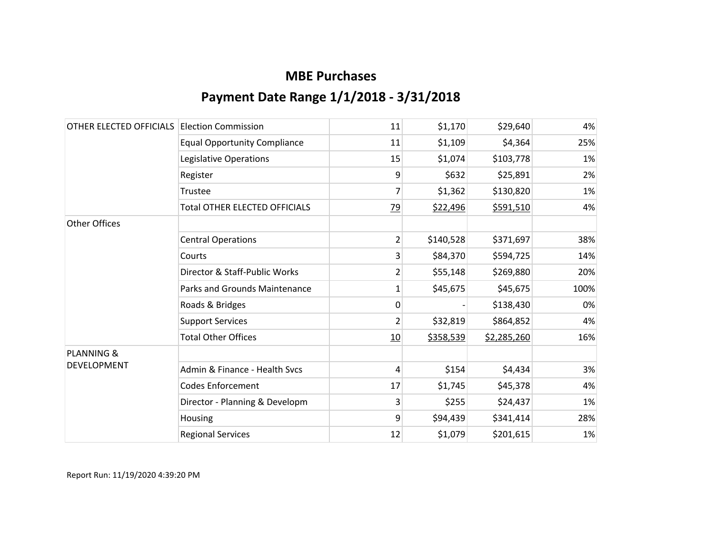| OTHER ELECTED OFFICIALS | <b>Election Commission</b>           | 11             | \$1,170   | \$29,640    | 4%   |
|-------------------------|--------------------------------------|----------------|-----------|-------------|------|
|                         | <b>Equal Opportunity Compliance</b>  | 11             | \$1,109   | \$4,364     | 25%  |
|                         | Legislative Operations               | 15             | \$1,074   | \$103,778   | 1%   |
|                         | Register                             | 9              | \$632     | \$25,891    | 2%   |
|                         | Trustee                              | 7              | \$1,362   | \$130,820   | 1%   |
|                         | <b>Total OTHER ELECTED OFFICIALS</b> | <u>79</u>      | \$22,496  | \$591,510   | 4%   |
| <b>Other Offices</b>    |                                      |                |           |             |      |
|                         | <b>Central Operations</b>            | $\overline{2}$ | \$140,528 | \$371,697   | 38%  |
|                         | Courts                               | 3              | \$84,370  | \$594,725   | 14%  |
|                         | Director & Staff-Public Works        | 2              | \$55,148  | \$269,880   | 20%  |
|                         | Parks and Grounds Maintenance        | 1              | \$45,675  | \$45,675    | 100% |
|                         | Roads & Bridges                      | $\mathbf{0}$   |           | \$138,430   | 0%   |
|                         | <b>Support Services</b>              | 2              | \$32,819  | \$864,852   | 4%   |
|                         | <b>Total Other Offices</b>           | 10             | \$358,539 | \$2,285,260 | 16%  |
| <b>PLANNING &amp;</b>   |                                      |                |           |             |      |
| <b>DEVELOPMENT</b>      | Admin & Finance - Health Sycs        | 4              | \$154     | \$4,434     | 3%   |
|                         | <b>Codes Enforcement</b>             | 17             | \$1,745   | \$45,378    | 4%   |
|                         | Director - Planning & Developm       | 3              | \$255     | \$24,437    | 1%   |
|                         | Housing                              | 9              | \$94,439  | \$341,414   | 28%  |
|                         | <b>Regional Services</b>             | 12             | \$1,079   | \$201,615   | 1%   |